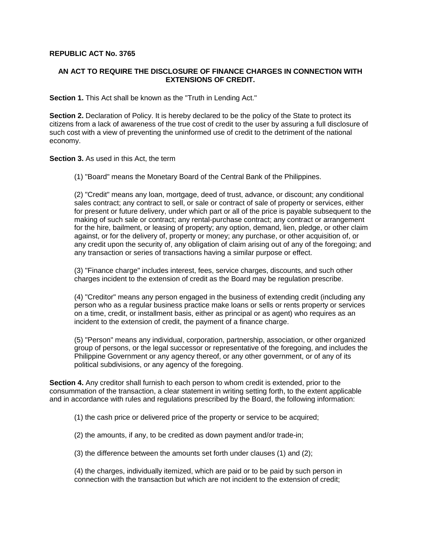## **REPUBLIC ACT No. 3765**

## **AN ACT TO REQUIRE THE DISCLOSURE OF FINANCE CHARGES IN CONNECTION WITH EXTENSIONS OF CREDIT.**

**Section 1.** This Act shall be known as the "Truth in Lending Act."

**Section 2.** Declaration of Policy. It is hereby declared to be the policy of the State to protect its citizens from a lack of awareness of the true cost of credit to the user by assuring a full disclosure of such cost with a view of preventing the uninformed use of credit to the detriment of the national economy.

**Section 3.** As used in this Act, the term

(1) "Board" means the Monetary Board of the Central Bank of the Philippines.

(2) "Credit" means any loan, mortgage, deed of trust, advance, or discount; any conditional sales contract; any contract to sell, or sale or contract of sale of property or services, either for present or future delivery, under which part or all of the price is payable subsequent to the making of such sale or contract; any rental-purchase contract; any contract or arrangement for the hire, bailment, or leasing of property; any option, demand, lien, pledge, or other claim against, or for the delivery of, property or money; any purchase, or other acquisition of, or any credit upon the security of, any obligation of claim arising out of any of the foregoing; and any transaction or series of transactions having a similar purpose or effect.

(3) "Finance charge" includes interest, fees, service charges, discounts, and such other charges incident to the extension of credit as the Board may be regulation prescribe.

(4) "Creditor" means any person engaged in the business of extending credit (including any person who as a regular business practice make loans or sells or rents property or services on a time, credit, or installment basis, either as principal or as agent) who requires as an incident to the extension of credit, the payment of a finance charge.

(5) "Person" means any individual, corporation, partnership, association, or other organized group of persons, or the legal successor or representative of the foregoing, and includes the Philippine Government or any agency thereof, or any other government, or of any of its political subdivisions, or any agency of the foregoing.

**Section 4.** Any creditor shall furnish to each person to whom credit is extended, prior to the consummation of the transaction, a clear statement in writing setting forth, to the extent applicable and in accordance with rules and regulations prescribed by the Board, the following information:

(1) the cash price or delivered price of the property or service to be acquired;

(2) the amounts, if any, to be credited as down payment and/or trade-in;

(3) the difference between the amounts set forth under clauses (1) and (2);

(4) the charges, individually itemized, which are paid or to be paid by such person in connection with the transaction but which are not incident to the extension of credit;